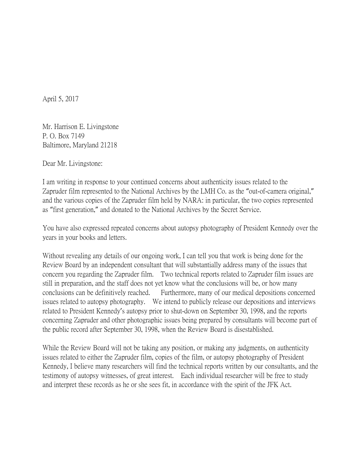April 5, 2017

Mr. Harrison E. Livingstone P. O. Box 7149 Baltimore, Maryland 21218

Dear Mr. Livingstone:

I am writing in response to your continued concerns about authenticity issues related to the Zapruder film represented to the National Archives by the LMH Co. as the "out-of-camera original," and the various copies of the Zapruder film held by NARA: in particular, the two copies represented as "first generation," and donated to the National Archives by the Secret Service.

You have also expressed repeated concerns about autopsy photography of President Kennedy over the years in your books and letters.

Without revealing any details of our ongoing work, I can tell you that work is being done for the Review Board by an independent consultant that will substantially address many of the issues that concern you regarding the Zapruder film. Two technical reports related to Zapruder film issues are still in preparation, and the staff does not yet know what the conclusions will be, or how many conclusions can be definitively reached. Furthermore, many of our medical depositions concerned issues related to autopsy photography. We intend to publicly release our depositions and interviews related to President Kennedy's autopsy prior to shut-down on September 30, 1998, and the reports concerning Zapruder and other photographic issues being prepared by consultants will become part of the public record after September 30, 1998, when the Review Board is disestablished.

While the Review Board will not be taking any position, or making any judgments, on authenticity issues related to either the Zapruder film, copies of the film, or autopsy photography of President Kennedy, I believe many researchers will find the technical reports written by our consultants, and the testimony of autopsy witnesses, of great interest. Each individual researcher will be free to study and interpret these records as he or she sees fit, in accordance with the spirit of the JFK Act.